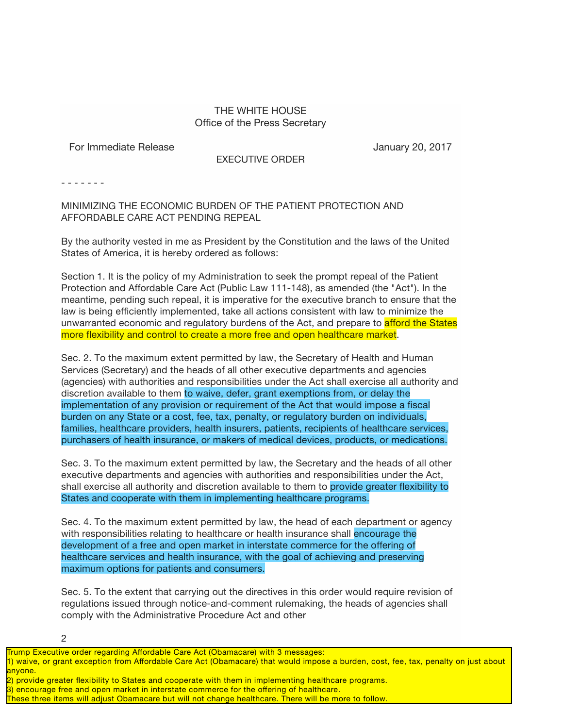## THE WHITE HOUSE Office of the Press Secretary

EXECUTIVE ORDER

For Immediate Release **For Immediate Release** January 20, 2017

- - - - - - -

MINIMIZING THE ECONOMIC BURDEN OF THE PATIENT PROTECTION AND AFFORDABLE CARE ACT PENDING REPEAL

By the authority vested in me as President by the Constitution and the laws of the United States of America, it is hereby ordered as follows:

Section 1. It is the policy of my Administration to seek the prompt repeal of the Patient Protection and Affordable Care Act (Public Law 111-148), as amended (the "Act"). In the meantime, pending such repeal, it is imperative for the executive branch to ensure that the law is being efficiently implemented, take all actions consistent with law to minimize the unwarranted economic and regulatory burdens of the Act, and prepare to afford the States more flexibility and control to create a more free and open healthcare market.

Sec. 2. To the maximum extent permitted by law, the Secretary of Health and Human Services (Secretary) and the heads of all other executive departments and agencies (agencies) with authorities and responsibilities under the Act shall exercise all authority and discretion available to them to waive, defer, grant exemptions from, or delay the implementation of any provision or requirement of the Act that would impose a fiscal burden on any State or a cost, fee, tax, penalty, or regulatory burden on individuals, families, healthcare providers, health insurers, patients, recipients of healthcare services, purchasers of health insurance, or makers of medical devices, products, or medications.

Sec. 3. To the maximum extent permitted by law, the Secretary and the heads of all other executive departments and agencies with authorities and responsibilities under the Act, shall exercise all authority and discretion available to them to provide greater flexibility to States and cooperate with them in implementing healthcare programs.

Sec. 4. To the maximum extent permitted by law, the head of each department or agency with responsibilities relating to healthcare or health insurance shall encourage the development of a free and open market in interstate commerce for the offering of healthcare services and health insurance, with the goal of achieving and preserving maximum options for patients and consumers.

Sec. 5. To the extent that carrying out the directives in this order would require revision of regulations issued through notice-and-comment rulemaking, the heads of agencies shall comply with the Administrative Procedure Act and other

2

- 2) provide greater flexibility to States and cooperate with them in implementing healthcare programs.
- 3) encourage free and open market in interstate commerce for the offering of healthcare.
- These three items will adjust Obamacare but will not change healthcare. There will be more to follow.

Trump Executive order regarding Affordable Care Act (Obamacare) with 3 messages:

<sup>1)</sup> waive, or grant exception from Affordable Care Act (Obamacare) that would impose a burden, cost, fee, tax, penalty on just about anyone.